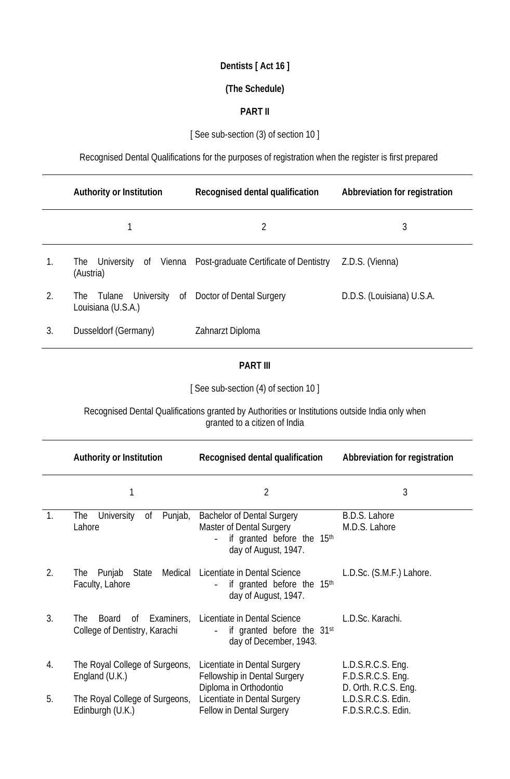# **Dentists [ Act 16 ]**

#### **(The Schedule)**

### **PART II**

# [See sub-section (3) of section 10 ]

Recognised Dental Qualifications for the purposes of registration when the register is first prepared

|    | <b>Authority or Institution</b>       | <b>Recognised dental qualification</b>        | <b>Abbreviation for registration</b> |
|----|---------------------------------------|-----------------------------------------------|--------------------------------------|
|    |                                       | 2                                             | 3                                    |
| 1. | University<br>_of<br>The<br>(Austria) | Vienna Post-graduate Certificate of Dentistry | Z.D.S. (Vienna)                      |
| 2. | Tulane<br>The<br>Louisiana (U.S.A.)   | University of Doctor of Dental Surgery        | D.D.S. (Louisiana) U.S.A.            |
| 3. | Dusseldorf (Germany)                  | Zahnarzt Diploma                              |                                      |

### **PART III**

[ See sub-section (4) of section 10 ]

Recognised Dental Qualifications granted by Authorities or Institutions outside India only when granted to a citizen of India

|                | <b>Authority or Institution</b>                                                 | <b>Recognised dental qualification</b>                                                                                     | <b>Abbreviation for registration</b>                             |
|----------------|---------------------------------------------------------------------------------|----------------------------------------------------------------------------------------------------------------------------|------------------------------------------------------------------|
|                | 1                                                                               | $\overline{2}$                                                                                                             | 3                                                                |
| $\mathbf{1}$ . | <b>University</b><br>Οf<br>Punjab,<br><b>The</b><br>Lahore                      | <b>Bachelor of Dental Surgery</b><br><b>Master of Dental Surgery</b><br>if granted before the 15th<br>day of August, 1947. | B.D.S. Lahore<br>M.D.S. Lahore                                   |
| 2.             | Punjab<br>State<br><b>The</b><br>Faculty, Lahore                                | Medical Licentiate in Dental Science<br>if granted before the 15 <sup>th</sup><br>day of August, 1947.                     | L.D.Sc. (S.M.F.) Lahore.                                         |
| 3.             | Examiners,<br><b>The</b><br><b>Board</b><br>0f<br>College of Dentistry, Karachi | Licentiate in Dental Science<br>if granted before the 31 <sup>st</sup><br>day of December, 1943.                           | L.D.Sc. Karachi.                                                 |
| 4.             | The Royal College of Surgeons,<br>England (U.K.)                                | Licentiate in Dental Surgery<br><b>Fellowship in Dental Surgery</b>                                                        | L.D.S.R.C.S. Eng.<br>F.D.S.R.C.S. Eng.                           |
| 5.             | The Royal College of Surgeons,<br>Edinburgh (U.K.)                              | Diploma in Orthodontio<br>Licentiate in Dental Surgery<br><b>Fellow in Dental Surgery</b>                                  | D. Orth. R.C.S. Eng.<br>L.D.S.R.C.S. Edin.<br>F.D.S.R.C.S. Edin. |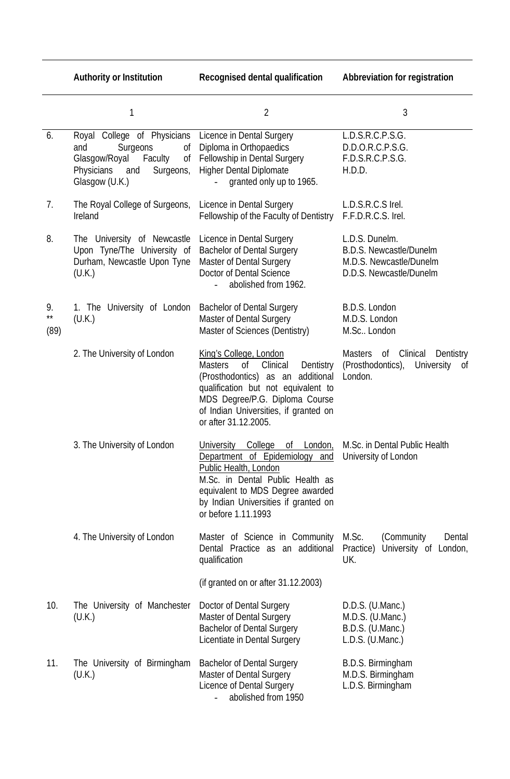|                            | 1                                                                                                                                                 | $\overline{2}$                                                                                                                                                                                                                                            | 3                                                                                                      |
|----------------------------|---------------------------------------------------------------------------------------------------------------------------------------------------|-----------------------------------------------------------------------------------------------------------------------------------------------------------------------------------------------------------------------------------------------------------|--------------------------------------------------------------------------------------------------------|
| 6.                         | Royal College of Physicians<br>Surgeons<br>and<br>of<br>Glasgow/Royal<br>Faculty<br>Оf<br><b>Physicians</b><br>and<br>Surgeons,<br>Glasgow (U.K.) | Licence in Dental Surgery<br>Diploma in Orthopaedics<br>Fellowship in Dental Surgery<br><b>Higher Dental Diplomate</b><br>granted only up to 1965.                                                                                                        | L.D.S.R.C.P.S.G.<br>D.D.O.R.C.P.S.G.<br>F.D.S.R.C.P.S.G.<br>H.D.D.                                     |
| 7.                         | The Royal College of Surgeons,<br>Ireland                                                                                                         | Licence in Dental Surgery<br>Fellowship of the Faculty of Dentistry                                                                                                                                                                                       | L.D.S.R.C.S Irel.<br>F.F.D.R.C.S. Irel.                                                                |
| 8.                         | The University of Newcastle<br>Upon Tyne/The University of<br>Durham, Newcastle Upon Tyne<br>(U.K.)                                               | Licence in Dental Surgery<br><b>Bachelor of Dental Surgery</b><br><b>Master of Dental Surgery</b><br><b>Doctor of Dental Science</b><br>abolished from 1962.                                                                                              | L.D.S. Dunelm.<br><b>B.D.S. Newcastle/Dunelm</b><br>M.D.S. Newcastle/Dunelm<br>D.D.S. Newcastle/Dunelm |
| 9.<br>$\star\star$<br>(89) | 1. The University of London<br>(U.K.)                                                                                                             | <b>Bachelor of Dental Surgery</b><br>Master of Dental Surgery<br>Master of Sciences (Dentistry)                                                                                                                                                           | B.D.S. London<br>M.D.S. London<br>M.Sc London                                                          |
|                            | 2. The University of London                                                                                                                       | King's College, London<br>0f<br>Clinical<br>Dentistry<br><b>Masters</b><br>(Prosthodontics) as an<br>additional<br>qualification but not equivalent to<br>MDS Degree/P.G. Diploma Course<br>of Indian Universities, if granted on<br>or after 31.12.2005. | <b>Masters</b><br>Clinical<br>of<br>Dentistry<br>(Prosthodontics),<br>University of<br>London.         |
|                            | 3. The University of London                                                                                                                       | <b>University</b><br>College<br>0f<br>London,<br>Department of Epidemiology<br>and<br>Public Health, London<br>M.Sc. in Dental Public Health as<br>equivalent to MDS Degree awarded<br>by Indian Universities if granted on<br>or before 1.11.1993        | M.Sc. in Dental Public Health<br>University of London                                                  |
|                            | 4. The University of London                                                                                                                       | Master of Science in Community<br>Dental Practice as an additional<br>qualification                                                                                                                                                                       | M.Sc.<br>(Community)<br>Dental<br>University of London,<br>Practice)<br>UK.                            |
|                            |                                                                                                                                                   | (if granted on or after 31.12.2003)                                                                                                                                                                                                                       |                                                                                                        |
| 10.                        | The University of Manchester<br>(U.K.)                                                                                                            | Doctor of Dental Surgery<br><b>Master of Dental Surgery</b><br><b>Bachelor of Dental Surgery</b><br>Licentiate in Dental Surgery                                                                                                                          | D.D.S. (U.Manc.)<br>M.D.S. (U.Manc.)<br>B.D.S. (U.Manc.)<br>L.D.S. (U.Manc.)                           |
| 11.                        | The University of Birmingham<br>(U.K.)                                                                                                            | <b>Bachelor of Dental Surgery</b><br>Master of Dental Surgery<br><b>Licence of Dental Surgery</b><br>abolished from 1950                                                                                                                                  | B.D.S. Birmingham<br>M.D.S. Birmingham<br>L.D.S. Birmingham                                            |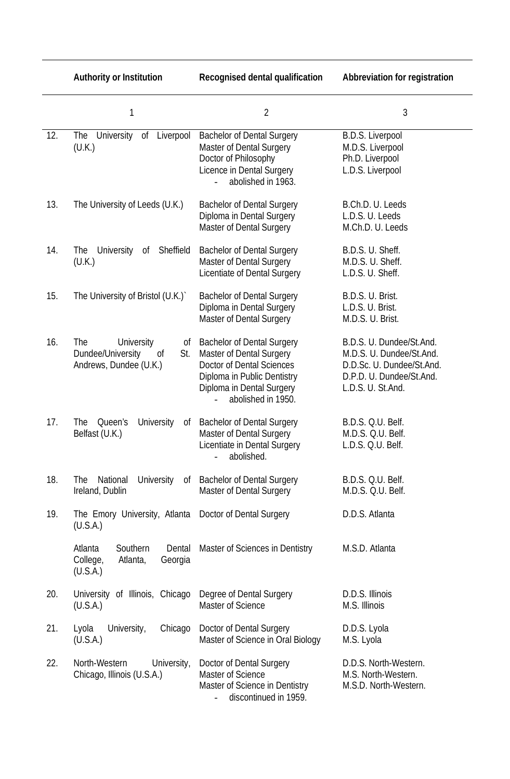|     | <b>Authority or Institution</b>                                                            | <b>Recognised dental qualification</b>                                                                                                                                                     | <b>Abbreviation for registration</b>                                                                                               |
|-----|--------------------------------------------------------------------------------------------|--------------------------------------------------------------------------------------------------------------------------------------------------------------------------------------------|------------------------------------------------------------------------------------------------------------------------------------|
|     | 1                                                                                          | $\overline{2}$                                                                                                                                                                             | 3                                                                                                                                  |
| 12. | The University<br>Liverpool<br>0f<br>(U.K.)                                                | <b>Bachelor of Dental Surgery</b><br>Master of Dental Surgery<br>Doctor of Philosophy<br>Licence in Dental Surgery<br>abolished in 1963.                                                   | <b>B.D.S. Liverpool</b><br>M.D.S. Liverpool<br>Ph.D. Liverpool<br>L.D.S. Liverpool                                                 |
| 13. | The University of Leeds (U.K.)                                                             | <b>Bachelor of Dental Surgery</b><br>Diploma in Dental Surgery<br><b>Master of Dental Surgery</b>                                                                                          | B.Ch.D. U. Leeds<br>L.D.S. U. Leeds<br>M.Ch.D. U. Leeds                                                                            |
| 14. | <b>University</b><br>Sheffield<br>The<br>0f<br>(U.K.)                                      | <b>Bachelor of Dental Surgery</b><br><b>Master of Dental Surgery</b><br><b>Licentiate of Dental Surgery</b>                                                                                | B.D.S. U. Sheff.<br>M.D.S. U. Sheff.<br>L.D.S. U. Sheff.                                                                           |
| 15. | The University of Bristol (U.K.)                                                           | <b>Bachelor of Dental Surgery</b><br>Diploma in Dental Surgery<br><b>Master of Dental Surgery</b>                                                                                          | B.D.S. U. Brist.<br>L.D.S. U. Brist.<br>M.D.S. U. Brist.                                                                           |
| 16. | The<br><b>University</b><br>0f<br>Dundee/University<br>St.<br>0f<br>Andrews, Dundee (U.K.) | <b>Bachelor of Dental Surgery</b><br><b>Master of Dental Surgery</b><br><b>Doctor of Dental Sciences</b><br>Diploma in Public Dentistry<br>Diploma in Dental Surgery<br>abolished in 1950. | B.D.S. U. Dundee/St.And.<br>M.D.S. U. Dundee/St.And.<br>D.D.Sc. U. Dundee/St.And.<br>D.P.D. U. Dundee/St.And.<br>L.D.S. U. St.And. |
| 17. | <b>University</b><br>The<br>Queen's<br>0f<br>Belfast (U.K.)                                | <b>Bachelor of Dental Surgery</b><br><b>Master of Dental Surgery</b><br>Licentiate in Dental Surgery<br>abolished.                                                                         | B.D.S. Q.U. Belf.<br>M.D.S. Q.U. Belf.<br>L.D.S. Q.U. Belf.                                                                        |
| 18. | National<br><b>University</b><br>The<br>0f<br>Ireland, Dublin                              | <b>Bachelor of Dental Surgery</b><br><b>Master of Dental Surgery</b>                                                                                                                       | B.D.S. Q.U. Belf.<br>M.D.S. Q.U. Belf.                                                                                             |
| 19. | The Emory University, Atlanta<br>(U.S.A.)                                                  | Doctor of Dental Surgery                                                                                                                                                                   | D.D.S. Atlanta                                                                                                                     |
|     | Atlanta<br>Southern<br>Dental<br>College,<br>Atlanta,<br>Georgia<br>(U.S.A.)               | Master of Sciences in Dentistry                                                                                                                                                            | M.S.D. Atlanta                                                                                                                     |
| 20. | University of Illinois, Chicago<br>(U.S.A.)                                                | Degree of Dental Surgery<br><b>Master of Science</b>                                                                                                                                       | D.D.S. Illinois<br>M.S. Illinois                                                                                                   |
| 21. | University,<br>Chicago<br>Lyola<br>(U.S.A.)                                                | Doctor of Dental Surgery<br>Master of Science in Oral Biology                                                                                                                              | D.D.S. Lyola<br>M.S. Lyola                                                                                                         |
| 22. | North-Western<br>University,<br>Chicago, Illinois (U.S.A.)                                 | Doctor of Dental Surgery<br><b>Master of Science</b><br>Master of Science in Dentistry<br>discontinued in 1959.                                                                            | D.D.S. North-Western.<br>M.S. North-Western.<br>M.S.D. North-Western.                                                              |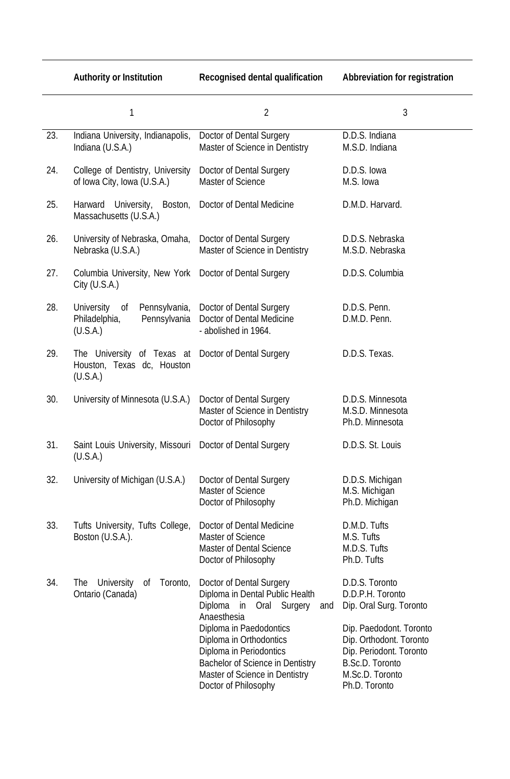**Authority or Institution Recognised dental qualification Abbreviation for registration**

|     | 1                                                                              | $\overline{2}$                                                                                                                                                                                                                                                                                     | 3                                                                                                                                                                                                     |
|-----|--------------------------------------------------------------------------------|----------------------------------------------------------------------------------------------------------------------------------------------------------------------------------------------------------------------------------------------------------------------------------------------------|-------------------------------------------------------------------------------------------------------------------------------------------------------------------------------------------------------|
| 23. | Indiana University, Indianapolis,<br>Indiana (U.S.A.)                          | Doctor of Dental Surgery<br>Master of Science in Dentistry                                                                                                                                                                                                                                         | D.D.S. Indiana<br>M.S.D. Indiana                                                                                                                                                                      |
| 24. | College of Dentistry, University<br>of Iowa City, Iowa (U.S.A.)                | Doctor of Dental Surgery<br><b>Master of Science</b>                                                                                                                                                                                                                                               | D.D.S. Iowa<br>M.S. Iowa                                                                                                                                                                              |
| 25. | Harward University,<br>Boston,<br>Massachusetts (U.S.A.)                       | Doctor of Dental Medicine                                                                                                                                                                                                                                                                          | D.M.D. Harvard.                                                                                                                                                                                       |
| 26. | University of Nebraska, Omaha,<br>Nebraska (U.S.A.)                            | Doctor of Dental Surgery<br>Master of Science in Dentistry                                                                                                                                                                                                                                         | D.D.S. Nebraska<br>M.S.D. Nebraska                                                                                                                                                                    |
| 27. | Columbia University, New York<br>City $(U.S.A.)$                               | Doctor of Dental Surgery                                                                                                                                                                                                                                                                           | D.D.S. Columbia                                                                                                                                                                                       |
| 28. | University<br>Pennsylvania,<br>of<br>Philadelphia,<br>Pennsylvania<br>(U.S.A.) | Doctor of Dental Surgery<br>Doctor of Dental Medicine<br>- abolished in 1964.                                                                                                                                                                                                                      | D.D.S. Penn.<br>D.M.D. Penn.                                                                                                                                                                          |
| 29. | The University of Texas at<br>Houston, Texas dc, Houston<br>(U.S.A.)           | Doctor of Dental Surgery                                                                                                                                                                                                                                                                           | D.D.S. Texas.                                                                                                                                                                                         |
| 30. | University of Minnesota (U.S.A.)                                               | Doctor of Dental Surgery<br>Master of Science in Dentistry<br>Doctor of Philosophy                                                                                                                                                                                                                 | D.D.S. Minnesota<br>M.S.D. Minnesota<br>Ph.D. Minnesota                                                                                                                                               |
| 31. | Saint Louis University, Missouri<br>(U.S.A.)                                   | Doctor of Dental Surgery                                                                                                                                                                                                                                                                           | D.D.S. St. Louis                                                                                                                                                                                      |
| 32. | University of Michigan (U.S.A.)                                                | Doctor of Dental Surgery<br><b>Master of Science</b><br>Doctor of Philosophy                                                                                                                                                                                                                       | D.D.S. Michigan<br>M.S. Michigan<br>Ph.D. Michigan                                                                                                                                                    |
| 33. | Tufts University, Tufts College,<br>Boston (U.S.A.).                           | Doctor of Dental Medicine<br><b>Master of Science</b><br><b>Master of Dental Science</b><br>Doctor of Philosophy                                                                                                                                                                                   | D.M.D. Tufts<br>M.S. Tufts<br>M.D.S. Tufts<br>Ph.D. Tufts                                                                                                                                             |
| 34. | University<br>Toronto,<br><b>The</b><br>0f<br>Ontario (Canada)                 | Doctor of Dental Surgery<br>Diploma in Dental Public Health<br>Diploma in Oral Surgery<br>and<br>Anaesthesia<br>Diploma in Paedodontics<br>Diploma in Orthodontics<br>Diploma in Periodontics<br><b>Bachelor of Science in Dentistry</b><br>Master of Science in Dentistry<br>Doctor of Philosophy | D.D.S. Toronto<br>D.D.P.H. Toronto<br>Dip. Oral Surg. Toronto<br>Dip. Paedodont. Toronto<br>Dip. Orthodont. Toronto<br>Dip. Periodont. Toronto<br>B.Sc.D. Toronto<br>M.Sc.D. Toronto<br>Ph.D. Toronto |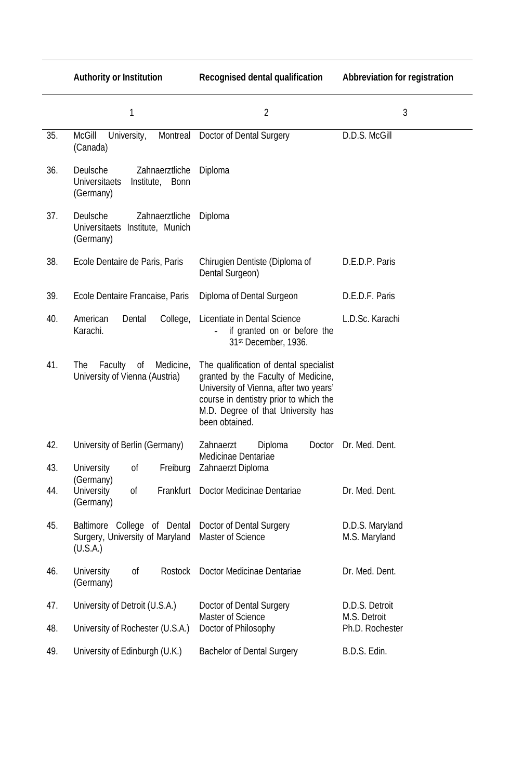|     | <b>Authority or Institution</b>                                                    | <b>Recognised dental qualification</b>                                                                                                                                                                                    | <b>Abbreviation for registration</b> |
|-----|------------------------------------------------------------------------------------|---------------------------------------------------------------------------------------------------------------------------------------------------------------------------------------------------------------------------|--------------------------------------|
|     | 1                                                                                  | $\overline{2}$                                                                                                                                                                                                            | 3                                    |
| 35. | <b>McGill</b><br>University,<br>(Canada)                                           | Montreal Doctor of Dental Surgery                                                                                                                                                                                         | D.D.S. McGill                        |
| 36. | Deulsche<br>Zahnaerztliche<br><b>Universitaets</b><br>Institute, Bonn<br>(Germany) | Diploma                                                                                                                                                                                                                   |                                      |
| 37. | Deulsche<br>Zahnaerztliche<br>Universitaets Institute, Munich<br>(Germany)         | Diploma                                                                                                                                                                                                                   |                                      |
| 38. | Ecole Dentaire de Paris, Paris                                                     | Chirugien Dentiste (Diploma of<br>Dental Surgeon)                                                                                                                                                                         | D.E.D.P. Paris                       |
| 39. | Ecole Dentaire Francaise, Paris                                                    | Diploma of Dental Surgeon                                                                                                                                                                                                 | D.E.D.F. Paris                       |
| 40. | American<br>College,<br>Dental<br>Karachi.                                         | Licentiate in Dental Science<br>if granted on or before the<br>31st December, 1936.                                                                                                                                       | L.D.Sc. Karachi                      |
| 41. | Medicine,<br>Faculty<br>0f<br>The<br>University of Vienna (Austria)                | The qualification of dental specialist<br>granted by the Faculty of Medicine,<br>University of Vienna, after two years'<br>course in dentistry prior to which the<br>M.D. Degree of that University has<br>been obtained. |                                      |
| 42. | University of Berlin (Germany)                                                     | Diploma<br>Doctor<br>Zahnaerzt<br>Medicinae Dentariae                                                                                                                                                                     | Dr. Med. Dent.                       |
| 43. | <b>University</b><br>Freiburg<br>0f<br>(Germany)                                   | Zahnaerzt Diploma                                                                                                                                                                                                         |                                      |
| 44. | <b>University</b><br>Frankfurt<br>0f<br>(Germany)                                  | Doctor Medicinae Dentariae                                                                                                                                                                                                | Dr. Med. Dent.                       |
| 45. | Baltimore College of Dental<br>Surgery, University of Maryland<br>(U.S.A.)         | Doctor of Dental Surgery<br>Master of Science                                                                                                                                                                             | D.D.S. Maryland<br>M.S. Maryland     |
| 46. | <b>University</b><br>0f<br>Rostock<br>(Germany)                                    | Doctor Medicinae Dentariae                                                                                                                                                                                                | Dr. Med. Dent.                       |
| 47. | University of Detroit (U.S.A.)                                                     | Doctor of Dental Surgery                                                                                                                                                                                                  | D.D.S. Detroit                       |
| 48. | University of Rochester (U.S.A.)                                                   | <b>Master of Science</b><br>Doctor of Philosophy                                                                                                                                                                          | M.S. Detroit<br>Ph.D. Rochester      |
| 49. | University of Edinburgh (U.K.)                                                     | <b>Bachelor of Dental Surgery</b>                                                                                                                                                                                         | B.D.S. Edin.                         |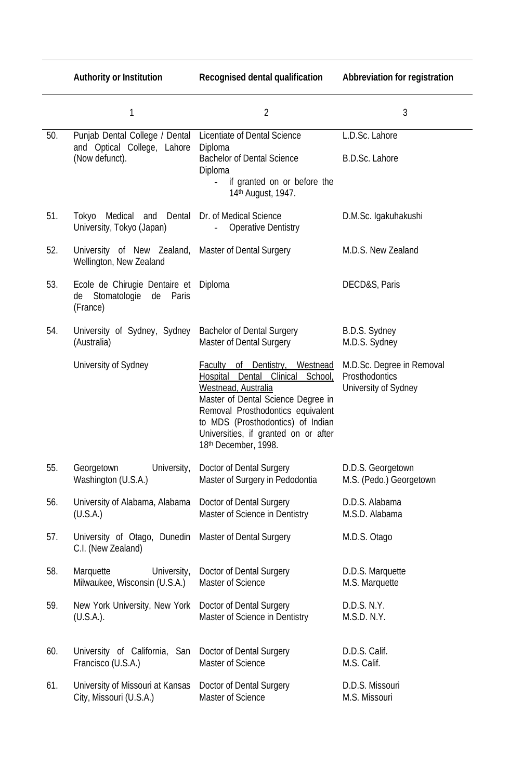|     | <b>Authority or Institution</b>                                             | <b>Recognised dental qualification</b>                                                                                                                                                                                                                                                | <b>Abbreviation for registration</b>                                |
|-----|-----------------------------------------------------------------------------|---------------------------------------------------------------------------------------------------------------------------------------------------------------------------------------------------------------------------------------------------------------------------------------|---------------------------------------------------------------------|
|     | 1                                                                           | $\overline{2}$                                                                                                                                                                                                                                                                        | 3                                                                   |
| 50. | Punjab Dental College / Dental                                              | Licentiate of Dental Science                                                                                                                                                                                                                                                          | L.D.Sc. Lahore                                                      |
|     | and Optical College, Lahore<br>(Now defunct).                               | Diploma<br><b>Bachelor of Dental Science</b><br>Diploma<br>if granted on or before the<br>14 <sup>th</sup> August, 1947.                                                                                                                                                              | B.D.Sc. Lahore                                                      |
| 51. | Tokyo Medical and Dental<br>University, Tokyo (Japan)                       | Dr. of Medical Science<br><b>Operative Dentistry</b>                                                                                                                                                                                                                                  | D.M.Sc. Igakuhakushi                                                |
| 52. | University of New Zealand,<br>Wellington, New Zealand                       | <b>Master of Dental Surgery</b>                                                                                                                                                                                                                                                       | M.D.S. New Zealand                                                  |
| 53. | Ecole de Chirugie Dentaire et<br>Stomatologie<br>de Paris<br>de<br>(France) | Diploma                                                                                                                                                                                                                                                                               | DECD&S, Paris                                                       |
| 54. | University of Sydney, Sydney<br>(Australia)                                 | <b>Bachelor of Dental Surgery</b><br><b>Master of Dental Surgery</b>                                                                                                                                                                                                                  | B.D.S. Sydney<br>M.D.S. Sydney                                      |
|     | University of Sydney                                                        | of Dentistry,<br>Faculty<br>Westnead<br>Dental Clinical<br>Hospital<br>School,<br>Westnead, Australia<br>Master of Dental Science Degree in<br>Removal Prosthodontics equivalent<br>to MDS (Prosthodontics) of Indian<br>Universities, if granted on or after<br>18th December, 1998. | M.D.Sc. Degree in Removal<br>Prosthodontics<br>University of Sydney |
| 55. | Georgetown<br>University,<br>Washington (U.S.A.)                            | Doctor of Dental Surgery<br>Master of Surgery in Pedodontia                                                                                                                                                                                                                           | D.D.S. Georgetown<br>M.S. (Pedo.) Georgetown                        |
| 56. | University of Alabama, Alabama<br>(U.S.A.)                                  | Doctor of Dental Surgery<br>Master of Science in Dentistry                                                                                                                                                                                                                            | D.D.S. Alabama<br>M.S.D. Alabama                                    |
| 57. | University of Otago, Dunedin<br>C.I. (New Zealand)                          | <b>Master of Dental Surgery</b>                                                                                                                                                                                                                                                       | M.D.S. Otago                                                        |
| 58. | Marquette<br>University,<br>Milwaukee, Wisconsin (U.S.A.)                   | Doctor of Dental Surgery<br><b>Master of Science</b>                                                                                                                                                                                                                                  | D.D.S. Marquette<br>M.S. Marquette                                  |
| 59. | New York University, New York<br>$(U.S.A.)$ .                               | Doctor of Dental Surgery<br>Master of Science in Dentistry                                                                                                                                                                                                                            | D.D.S. N.Y.<br>M.S.D. N.Y.                                          |
| 60. | University of California, San<br>Francisco (U.S.A.)                         | Doctor of Dental Surgery<br><b>Master of Science</b>                                                                                                                                                                                                                                  | D.D.S. Calif.<br>M.S. Calif.                                        |
| 61. | University of Missouri at Kansas<br>City, Missouri (U.S.A.)                 | Doctor of Dental Surgery<br>Master of Science                                                                                                                                                                                                                                         | D.D.S. Missouri<br>M.S. Missouri                                    |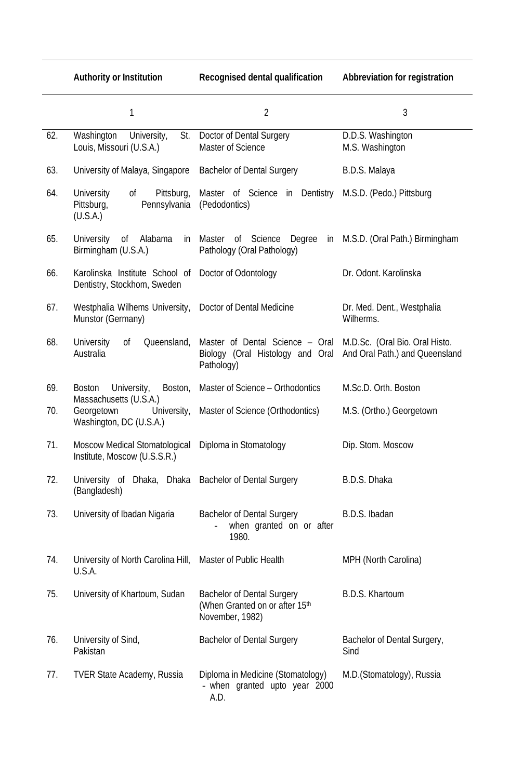|     | <b>Authority or Institution</b>                                                 | <b>Recognised dental qualification</b>                                                                           | <b>Abbreviation for registration</b>    |
|-----|---------------------------------------------------------------------------------|------------------------------------------------------------------------------------------------------------------|-----------------------------------------|
|     | 1                                                                               | $\overline{2}$                                                                                                   | 3                                       |
| 62. | Washington<br>University,<br>St.<br>Louis, Missouri (U.S.A.)                    | Doctor of Dental Surgery<br><b>Master of Science</b>                                                             | D.D.S. Washington<br>M.S. Washington    |
| 63. | University of Malaya, Singapore                                                 | <b>Bachelor of Dental Surgery</b>                                                                                | B.D.S. Malaya                           |
| 64. | <b>University</b><br>of<br>Pittsburg,<br>Pittsburg,<br>Pennsylvania<br>(U.S.A.) | Master of Science in Dentistry M.S.D. (Pedo.) Pittsburg<br>(Pedodontics)                                         |                                         |
| 65. | 0 <sup>f</sup><br>Alabama<br>University<br>in<br>Birmingham (U.S.A.)            | of Science<br>Master<br>Degree<br>in<br>Pathology (Oral Pathology)                                               | M.S.D. (Oral Path.) Birmingham          |
| 66. | Karolinska Institute School of<br>Dentistry, Stockhom, Sweden                   | Doctor of Odontology                                                                                             | Dr. Odont. Karolinska                   |
| 67. | Westphalia Wilhems University,<br>Munstor (Germany)                             | Doctor of Dental Medicine                                                                                        | Dr. Med. Dent., Westphalia<br>Wilherms. |
| 68. | <b>University</b><br>0f<br>Queensland,<br>Australia                             | Master of Dental Science - Oral M.D.Sc. (Oral Bio. Oral Histo.<br>Biology (Oral Histology and Oral<br>Pathology) | And Oral Path.) and Queensland          |
| 69. | University,<br>Boston,<br><b>Boston</b>                                         | Master of Science - Orthodontics                                                                                 | M.Sc.D. Orth. Boston                    |
| 70. | Massachusetts (U.S.A.)<br>Georgetown<br>University,<br>Washington, DC (U.S.A.)  | Master of Science (Orthodontics)                                                                                 | M.S. (Ortho.) Georgetown                |
| 71. | <b>Moscow Medical Stomatological</b><br>Institute, Moscow (U.S.S.R.)            | Diploma in Stomatology                                                                                           | Dip. Stom. Moscow                       |
| 72. | University of Dhaka, Dhaka<br>(Bangladesh)                                      | <b>Bachelor of Dental Surgery</b>                                                                                | B.D.S. Dhaka                            |
| 73. | University of Ibadan Nigaria                                                    | <b>Bachelor of Dental Surgery</b><br>when granted on or after<br>1980.                                           | B.D.S. Ibadan                           |
| 74. | University of North Carolina Hill,<br>U.S.A.                                    | Master of Public Health                                                                                          | MPH (North Carolina)                    |
| 75. | University of Khartoum, Sudan                                                   | <b>Bachelor of Dental Surgery</b><br>(When Granted on or after 15th<br>November, 1982)                           | B.D.S. Khartoum                         |
| 76. | University of Sind,<br>Pakistan                                                 | <b>Bachelor of Dental Surgery</b>                                                                                | Bachelor of Dental Surgery,<br>Sind     |
| 77. | <b>TVER State Academy, Russia</b>                                               | Diploma in Medicine (Stomatology)<br>- when granted upto year 2000<br>A.D.                                       | M.D. (Stomatology), Russia              |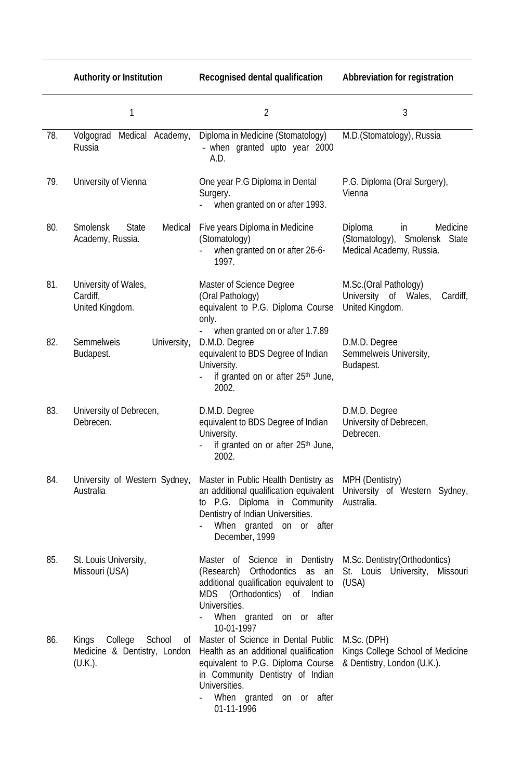|     | <b>Authority or Institution</b>                                          | <b>Recognised dental qualification</b>                                                                                                                                                                                                                     | <b>Abbreviation for registration</b>                                                   |
|-----|--------------------------------------------------------------------------|------------------------------------------------------------------------------------------------------------------------------------------------------------------------------------------------------------------------------------------------------------|----------------------------------------------------------------------------------------|
|     | 1                                                                        | $\overline{2}$                                                                                                                                                                                                                                             | 3                                                                                      |
| 78. | Volgograd<br>Medical Academy,<br>Russia                                  | Diploma in Medicine (Stomatology)<br>- when granted upto year 2000<br>A.D.                                                                                                                                                                                 | M.D.(Stomatology), Russia                                                              |
| 79. | University of Vienna                                                     | One year P.G Diploma in Dental<br>Surgery.<br>when granted on or after 1993.                                                                                                                                                                               | P.G. Diploma (Oral Surgery),<br>Vienna                                                 |
| 80. | <b>Smolensk</b><br><b>State</b><br>Medical<br>Academy, Russia.           | Five years Diploma in Medicine<br>(Stomatology)<br>when granted on or after 26-6-<br>1997.                                                                                                                                                                 | Diploma<br>Medicine<br>in<br>(Stomatology), Smolensk State<br>Medical Academy, Russia. |
| 81. | University of Wales,<br>Cardiff,<br>United Kingdom.                      | <b>Master of Science Degree</b><br>(Oral Pathology)<br>equivalent to P.G. Diploma Course<br>only.                                                                                                                                                          | M.Sc.(Oral Pathology)<br>University of Wales,<br>Cardiff,<br>United Kingdom.           |
| 82. | Semmelweis<br>University,<br>Budapest.                                   | when granted on or after 1.7.89<br>D.M.D. Degree<br>equivalent to BDS Degree of Indian<br>University.<br>if granted on or after 25 <sup>th</sup> June,<br>2002.                                                                                            | D.M.D. Degree<br>Semmelweis University,<br>Budapest.                                   |
| 83. | University of Debrecen,<br>Debrecen.                                     | D.M.D. Degree<br>equivalent to BDS Degree of Indian<br>University.<br>if granted on or after 25 <sup>th</sup> June,<br>2002.                                                                                                                               | D.M.D. Degree<br>University of Debrecen,<br>Debrecen.                                  |
| 84. | University of Western Sydney,<br>Australia                               | Master in Public Health Dentistry as<br>an additional qualification equivalent<br>to P.G. Diploma in Community<br>Dentistry of Indian Universities.<br>When granted on or after<br>December, 1999                                                          | MPH (Dentistry)<br>University of Western Sydney,<br>Australia.                         |
| 85. | St. Louis University,<br>Missouri (USA)                                  | Master of Science in Dentistry M.Sc. Dentistry (Orthodontics)<br>(Research) Orthodontics as an St. Louis University, Missouri<br>additional qualification equivalent to (USA)<br>MDS (Orthodontics) of Indian<br>Universities.<br>When granted on or after |                                                                                        |
| 86. | College School<br>Kings<br>0f<br>Medicine & Dentistry, London<br>(U.K.). | 10-01-1997<br>Master of Science in Dental Public<br>Health as an additional qualification<br>equivalent to P.G. Diploma Course<br>in Community Dentistry of Indian<br>Universities.<br>When granted on or after<br>01-11-1996                              | M.Sc. (DPH)<br>Kings College School of Medicine<br>& Dentistry, London (U.K.).         |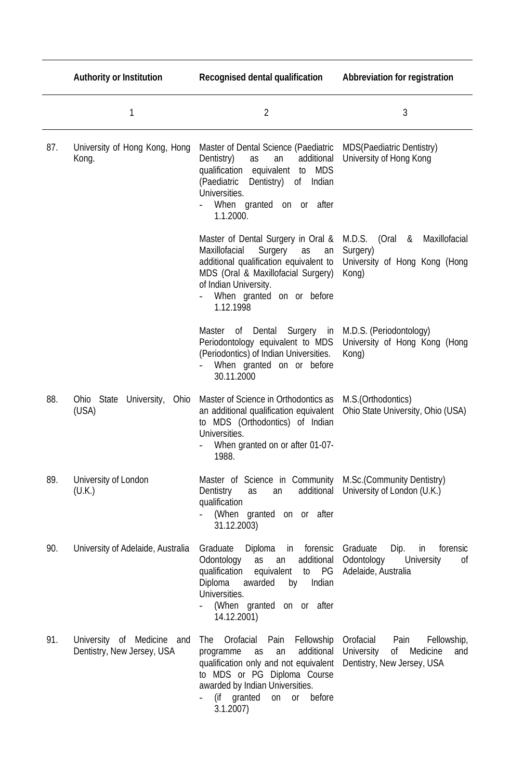|     | <b>Authority or Institution</b>                             | <b>Recognised dental qualification</b>                                                                                                                                                                                                                     | <b>Abbreviation for registration</b>                                                                         |
|-----|-------------------------------------------------------------|------------------------------------------------------------------------------------------------------------------------------------------------------------------------------------------------------------------------------------------------------------|--------------------------------------------------------------------------------------------------------------|
|     | 1                                                           | $\overline{2}$                                                                                                                                                                                                                                             | 3                                                                                                            |
| 87. | University of Hong Kong, Hong<br>Kong.                      | Master of Dental Science (Paediatric<br>Dentistry)<br>additional<br>as<br>an<br>qualification equivalent to MDS<br>(Paediatric<br>Dentistry)<br>of Indian<br>Universities.<br>When granted on or after<br>1.1.2000.                                        | <b>MDS(Paediatric Dentistry)</b><br>University of Hong Kong                                                  |
|     |                                                             | Master of Dental Surgery in Oral & M.D.S. (Oral & Maxillofacial<br>Maxillofacial<br>Surgery<br>as<br>an<br>additional qualification equivalent to<br>MDS (Oral & Maxillofacial Surgery)<br>of Indian University.<br>When granted on or before<br>1.12.1998 | Surgery)<br>University of Hong Kong (Hong<br>Kong)                                                           |
|     |                                                             | Master of Dental<br>Periodontology equivalent to MDS<br>(Periodontics) of Indian Universities.<br>When granted on or before<br>30.11.2000                                                                                                                  | Surgery in M.D.S. (Periodontology)<br>University of Hong Kong (Hong<br>Kong)                                 |
| 88. | Ohio State University, Ohio<br>(USA)                        | Master of Science in Orthodontics as<br>an additional qualification equivalent<br>to MDS (Orthodontics) of Indian<br>Universities.<br>When granted on or after 01-07-<br>1988.                                                                             | M.S. (Orthodontics)<br>Ohio State University, Ohio (USA)                                                     |
| 89. | University of London<br>(U.K.)                              | Master of Science in Community<br>Dentistry<br>additional<br>as<br>an<br>qualification<br>(When granted on or after<br>31.12.2003)                                                                                                                         | M.Sc. (Community Dentistry)<br>University of London (U.K.)                                                   |
| 90. | University of Adelaide, Australia                           | Graduate<br>Diploma<br>in<br>forensic<br>Odontology<br>additional<br>as<br>an<br>qualification<br>PG<br>equivalent<br>to<br>Diploma<br>awarded<br>Indian<br>by<br>Universities.<br>(When granted on or after<br>14.12.2001)                                | Graduate<br>Dip.<br>in<br>forensic<br>Odontology<br>University<br>0f<br>Adelaide, Australia                  |
| 91. | University of Medicine<br>and<br>Dentistry, New Jersey, USA | Orofacial<br>Pain<br>Fellowship<br>The<br>additional<br>programme<br>as<br>an<br>qualification only and not equivalent<br>to MDS or PG Diploma Course<br>awarded by Indian Universities.<br>(if granted<br>before<br>on<br><b>or</b><br>3.1.2007           | Orofacial<br>Pain<br>Fellowship,<br><b>University</b><br>0f<br>Medicine<br>and<br>Dentistry, New Jersey, USA |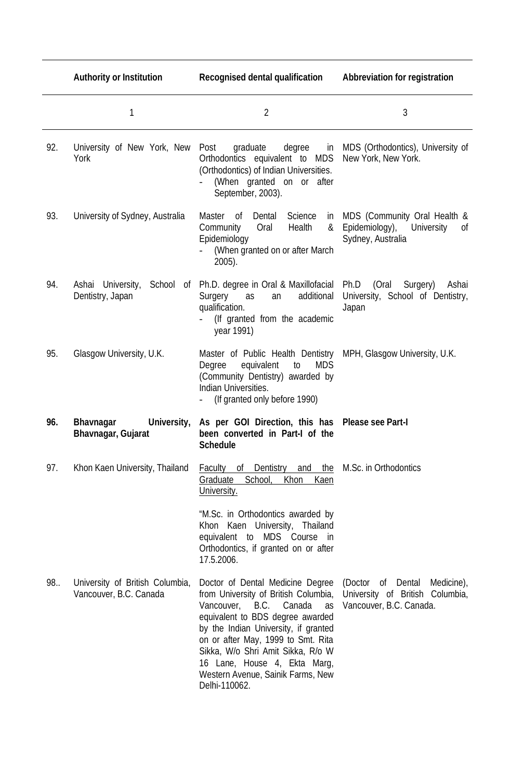|     | <b>Authority or Institution</b>                           | <b>Recognised dental qualification</b>                                                                                                                                                                                                                                                                                                             | <b>Abbreviation for registration</b>                                                       |
|-----|-----------------------------------------------------------|----------------------------------------------------------------------------------------------------------------------------------------------------------------------------------------------------------------------------------------------------------------------------------------------------------------------------------------------------|--------------------------------------------------------------------------------------------|
|     | 1                                                         | $\overline{2}$                                                                                                                                                                                                                                                                                                                                     | 3                                                                                          |
| 92. | University of New York, New<br>York                       | degree<br>Post<br>graduate<br>in<br>Orthodontics equivalent to MDS<br>(Orthodontics) of Indian Universities.<br>(When granted on or after<br>September, 2003).                                                                                                                                                                                     | MDS (Orthodontics), University of<br>New York, New York.                                   |
| 93. | University of Sydney, Australia                           | Dental Science<br>Master of<br>in<br>Community<br>Oral<br>Health<br>&<br>Epidemiology<br>(When granted on or after March<br>$2005$ ).                                                                                                                                                                                                              | MDS (Community Oral Health &<br>Epidemiology), University<br>0f<br>Sydney, Australia       |
| 94. | Ashai University,<br>School<br>of<br>Dentistry, Japan     | Ph.D. degree in Oral & Maxillofacial<br>additional<br>Surgery<br>as<br>an<br>qualification.<br>(If granted from the academic<br>year 1991)                                                                                                                                                                                                         | Ph.D<br>(Oral<br>Surgery)<br>Ashai<br>University, School of Dentistry,<br>Japan            |
| 95. | Glasgow University, U.K.                                  | Master of Public Health Dentistry MPH, Glasgow University, U.K.<br><b>MDS</b><br>equivalent<br>to<br>Degree<br>(Community Dentistry) awarded by<br>Indian Universities.<br>(If granted only before 1990)                                                                                                                                           |                                                                                            |
| 96. | <b>Bhavnagar</b><br>University,<br>Bhavnagar, Gujarat     | As per GOI Direction, this has Please see Part-I<br>been converted in Part-I of the<br><b>Schedule</b>                                                                                                                                                                                                                                             |                                                                                            |
| 97. | Khon Kaen University, Thailand                            | <b>Faculty of Dentistry</b><br>School,<br>Khon<br>Graduate<br>Kaen<br>University.                                                                                                                                                                                                                                                                  | and the M.Sc. in Orthodontics                                                              |
|     |                                                           | "M.Sc. in Orthodontics awarded by<br>Khon Kaen University, Thailand<br>equivalent to MDS Course in<br>Orthodontics, if granted on or after<br>17.5.2006.                                                                                                                                                                                           |                                                                                            |
| 98  | University of British Columbia,<br>Vancouver, B.C. Canada | Doctor of Dental Medicine Degree<br>from University of British Columbia,<br>Vancouver, B.C. Canada as<br>equivalent to BDS degree awarded<br>by the Indian University, if granted<br>on or after May, 1999 to Smt. Rita<br>Sikka, W/o Shri Amit Sikka, R/o W<br>16 Lane, House 4, Ekta Marg,<br>Western Avenue, Sainik Farms, New<br>Delhi-110062. | (Doctor of Dental Medicine),<br>University of British Columbia,<br>Vancouver, B.C. Canada. |